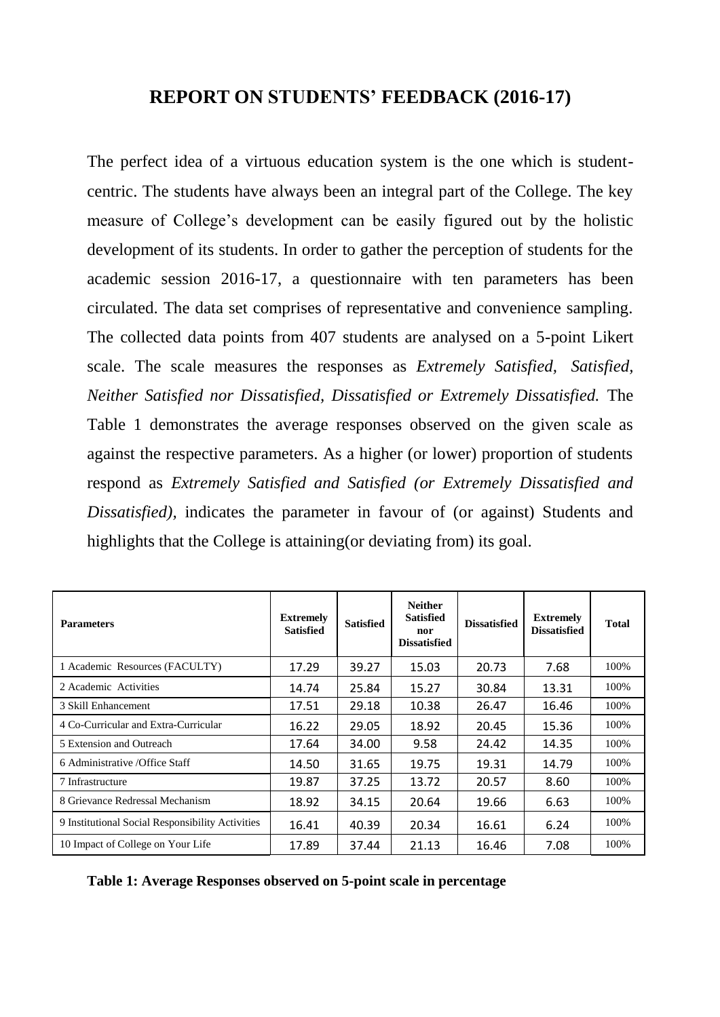## **REPORT ON STUDENTS' FEEDBACK (2016-17)**

The perfect idea of a virtuous education system is the one which is studentcentric. The students have always been an integral part of the College. The key measure of College's development can be easily figured out by the holistic development of its students. In order to gather the perception of students for the academic session 2016-17, a questionnaire with ten parameters has been circulated. The data set comprises of representative and convenience sampling. The collected data points from 407 students are analysed on a 5-point Likert scale. The scale measures the responses as *Extremely Satisfied, Satisfied, Neither Satisfied nor Dissatisfied, Dissatisfied or Extremely Dissatisfied.* The Table 1 demonstrates the average responses observed on the given scale as against the respective parameters. As a higher (or lower) proportion of students respond as *Extremely Satisfied and Satisfied (or Extremely Dissatisfied and Dissatisfied),* indicates the parameter in favour of (or against) Students and highlights that the College is attaining(or deviating from) its goal.

| <b>Parameters</b>                                | <b>Extremely</b><br><b>Satisfied</b> | <b>Satisfied</b> | <b>Neither</b><br><b>Satisfied</b><br>nor<br><b>Dissatisfied</b> | <b>Dissatisfied</b> | <b>Extremely</b><br><b>Dissatisfied</b> | <b>Total</b> |
|--------------------------------------------------|--------------------------------------|------------------|------------------------------------------------------------------|---------------------|-----------------------------------------|--------------|
| 1 Academic Resources (FACULTY)                   | 17.29                                | 39.27            | 15.03                                                            | 20.73               | 7.68                                    | 100%         |
| 2 Academic Activities                            | 14.74                                | 25.84            | 15.27                                                            | 30.84               | 13.31                                   | 100%         |
| 3 Skill Enhancement                              | 17.51                                | 29.18            | 10.38                                                            | 26.47               | 16.46                                   | 100%         |
| 4 Co-Curricular and Extra-Curricular             | 16.22                                | 29.05            | 18.92                                                            | 20.45               | 15.36                                   | 100%         |
| 5 Extension and Outreach                         | 17.64                                | 34.00            | 9.58                                                             | 24.42               | 14.35                                   | 100%         |
| 6 Administrative / Office Staff                  | 14.50                                | 31.65            | 19.75                                                            | 19.31               | 14.79                                   | 100%         |
| 7 Infrastructure                                 | 19.87                                | 37.25            | 13.72                                                            | 20.57               | 8.60                                    | 100%         |
| 8 Grievance Redressal Mechanism                  | 18.92                                | 34.15            | 20.64                                                            | 19.66               | 6.63                                    | 100%         |
| 9 Institutional Social Responsibility Activities | 16.41                                | 40.39            | 20.34                                                            | 16.61               | 6.24                                    | 100%         |
| 10 Impact of College on Your Life                | 17.89                                | 37.44            | 21.13                                                            | 16.46               | 7.08                                    | 100%         |

**Table 1: Average Responses observed on 5-point scale in percentage**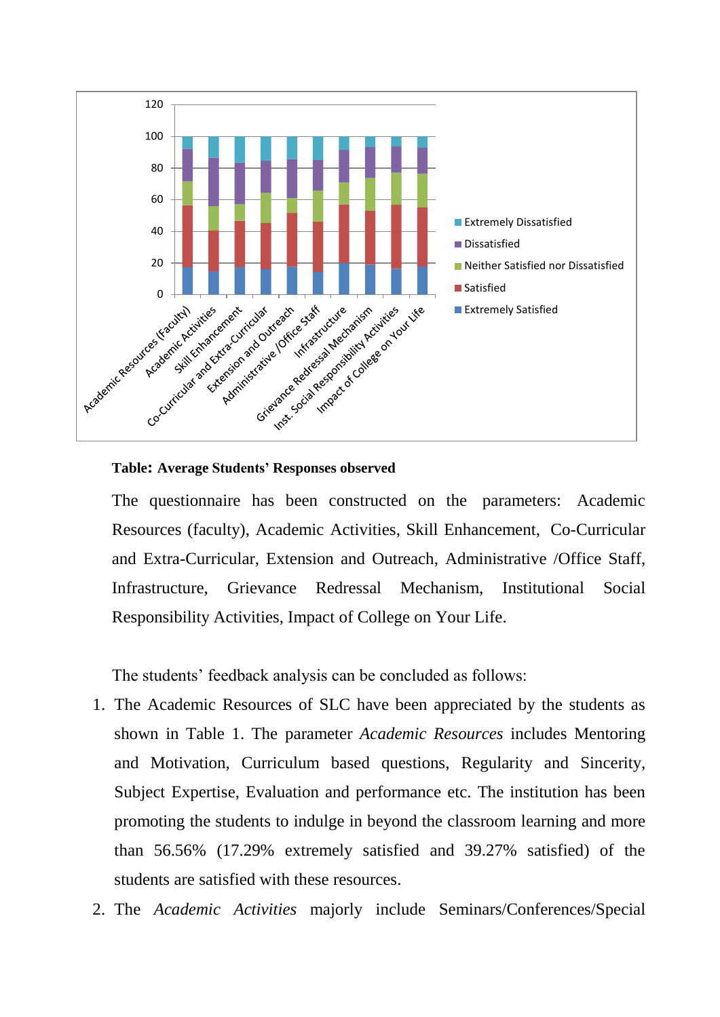

**Table: Average Students' Responses observed** 

The questionnaire has been constructed on the parameters: Academic Resources (faculty), Academic Activities, Skill Enhancement, Co-Curricular and Extra-Curricular, Extension and Outreach, Administrative /Office Staff, Infrastructure, Grievance Redressal Mechanism, Institutional Social Responsibility Activities, Impact of College on Your Life.

The students' feedback analysis can be concluded as follows:

- 1. The Academic Resources of SLC have been appreciated by the students as shown in Table 1. The parameter *Academic Resources* includes Mentoring and Motivation, Curriculum based questions, Regularity and Sincerity, Subject Expertise, Evaluation and performance etc. The institution has been promoting the students to indulge in beyond the classroom learning and more than 56.56% (17.29% extremely satisfied and 39.27% satisfied) of the students are satisfied with these resources.
- 2. The *Academic Activities* majorly include Seminars/Conferences/Special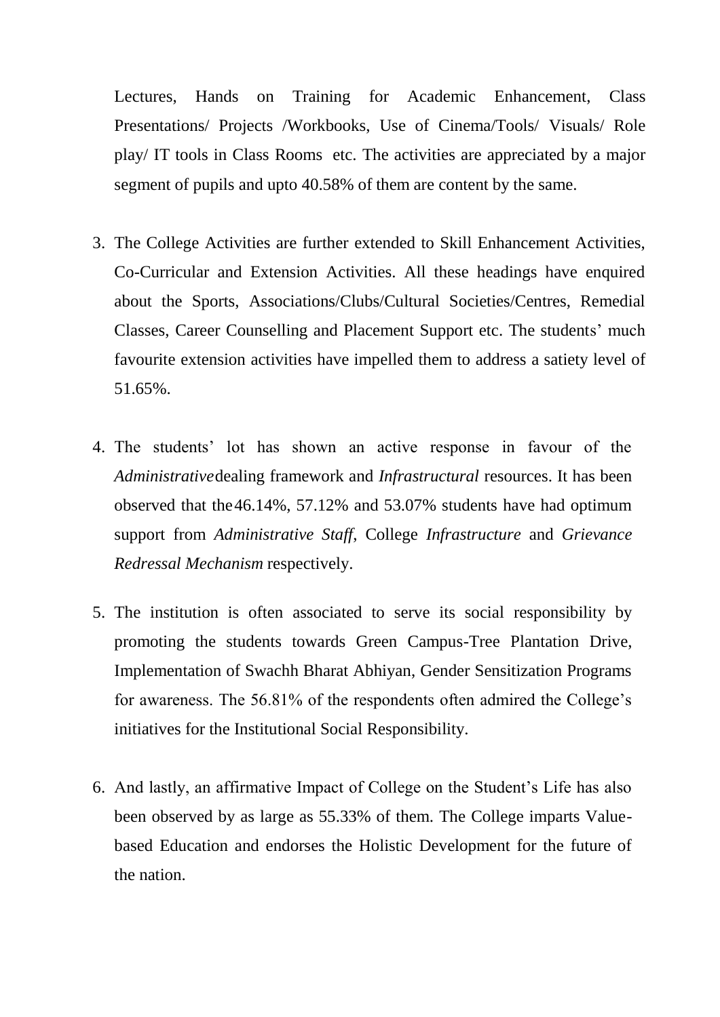Lectures, Hands on Training for Academic Enhancement, Class Presentations/ Projects /Workbooks, Use of Cinema/Tools/ Visuals/ Role play/ IT tools in Class Rooms etc. The activities are appreciated by a major segment of pupils and upto 40.58% of them are content by the same.

- 3. The College Activities are further extended to Skill Enhancement Activities, Co-Curricular and Extension Activities. All these headings have enquired about the Sports, Associations/Clubs/Cultural Societies/Centres, Remedial Classes, Career Counselling and Placement Support etc. The students' much favourite extension activities have impelled them to address a satiety level of 51.65%.
- 4. The students' lot has shown an active response in favour of the *Administrative*dealing framework and *Infrastructural* resources. It has been observed that the46.14%, 57.12% and 53.07% students have had optimum support from *Administrative Staff*, College *Infrastructure* and *Grievance Redressal Mechanism* respectively.
- 5. The institution is often associated to serve its social responsibility by promoting the students towards Green Campus-Tree Plantation Drive, Implementation of Swachh Bharat Abhiyan, Gender Sensitization Programs for awareness. The 56.81% of the respondents often admired the College's initiatives for the Institutional Social Responsibility.
- 6. And lastly, an affirmative Impact of College on the Student's Life has also been observed by as large as 55.33% of them. The College imparts Valuebased Education and endorses the Holistic Development for the future of the nation.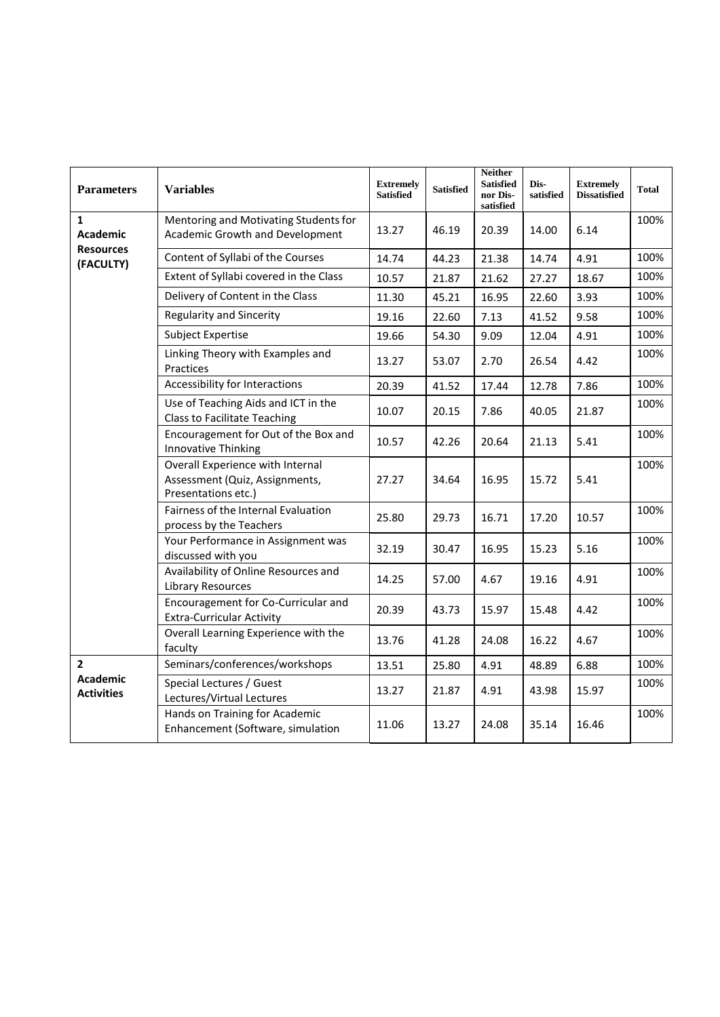| <b>Parameters</b>                                      | <b>Variables</b>                                                                          | <b>Extremely</b><br><b>Satisfied</b> | <b>Satisfied</b> | <b>Neither</b><br><b>Satisfied</b><br>nor Dis-<br>satisfied | Dis-<br>satisfied | <b>Extremely</b><br><b>Dissatisfied</b> | <b>Total</b> |
|--------------------------------------------------------|-------------------------------------------------------------------------------------------|--------------------------------------|------------------|-------------------------------------------------------------|-------------------|-----------------------------------------|--------------|
| $\mathbf{1}$<br><b>Academic</b>                        | Mentoring and Motivating Students for<br>Academic Growth and Development                  | 13.27                                | 46.19            | 20.39                                                       | 14.00             | 6.14                                    | 100%         |
| <b>Resources</b><br>(FACULTY)                          | Content of Syllabi of the Courses                                                         | 14.74                                | 44.23            | 21.38                                                       | 14.74             | 4.91                                    | 100%         |
|                                                        | Extent of Syllabi covered in the Class                                                    | 10.57                                | 21.87            | 21.62                                                       | 27.27             | 18.67                                   | 100%         |
|                                                        | Delivery of Content in the Class                                                          | 11.30                                | 45.21            | 16.95                                                       | 22.60             | 3.93                                    | 100%         |
|                                                        | <b>Regularity and Sincerity</b>                                                           | 19.16                                | 22.60            | 7.13                                                        | 41.52             | 9.58                                    | 100%         |
|                                                        | Subject Expertise                                                                         | 19.66                                | 54.30            | 9.09                                                        | 12.04             | 4.91                                    | 100%         |
|                                                        | Linking Theory with Examples and<br>Practices                                             | 13.27                                | 53.07            | 2.70                                                        | 26.54             | 4.42                                    | 100%         |
|                                                        | Accessibility for Interactions                                                            | 20.39                                | 41.52            | 17.44                                                       | 12.78             | 7.86                                    | 100%         |
|                                                        | Use of Teaching Aids and ICT in the<br><b>Class to Facilitate Teaching</b>                | 10.07                                | 20.15            | 7.86                                                        | 40.05             | 21.87                                   | 100%         |
|                                                        | Encouragement for Out of the Box and<br>Innovative Thinking                               | 10.57                                | 42.26            | 20.64                                                       | 21.13             | 5.41                                    | 100%         |
|                                                        | Overall Experience with Internal<br>Assessment (Quiz, Assignments,<br>Presentations etc.) | 27.27                                | 34.64            | 16.95                                                       | 15.72             | 5.41                                    | 100%         |
|                                                        | Fairness of the Internal Evaluation<br>process by the Teachers                            | 25.80                                | 29.73            | 16.71                                                       | 17.20             | 10.57                                   | 100%         |
|                                                        | Your Performance in Assignment was<br>discussed with you                                  | 32.19                                | 30.47            | 16.95                                                       | 15.23             | 5.16                                    | 100%         |
|                                                        | Availability of Online Resources and<br><b>Library Resources</b>                          | 14.25                                | 57.00            | 4.67                                                        | 19.16             | 4.91                                    | 100%         |
|                                                        | Encouragement for Co-Curricular and<br><b>Extra-Curricular Activity</b>                   | 20.39                                | 43.73            | 15.97                                                       | 15.48             | 4.42                                    | 100%         |
|                                                        | Overall Learning Experience with the<br>faculty                                           | 13.76                                | 41.28            | 24.08                                                       | 16.22             | 4.67                                    | 100%         |
| $\overline{2}$<br><b>Academic</b><br><b>Activities</b> | Seminars/conferences/workshops                                                            | 13.51                                | 25.80            | 4.91                                                        | 48.89             | 6.88                                    | 100%         |
|                                                        | Special Lectures / Guest<br>Lectures/Virtual Lectures                                     | 13.27                                | 21.87            | 4.91                                                        | 43.98             | 15.97                                   | 100%         |
|                                                        | Hands on Training for Academic<br>Enhancement (Software, simulation                       | 11.06                                | 13.27            | 24.08                                                       | 35.14             | 16.46                                   | 100%         |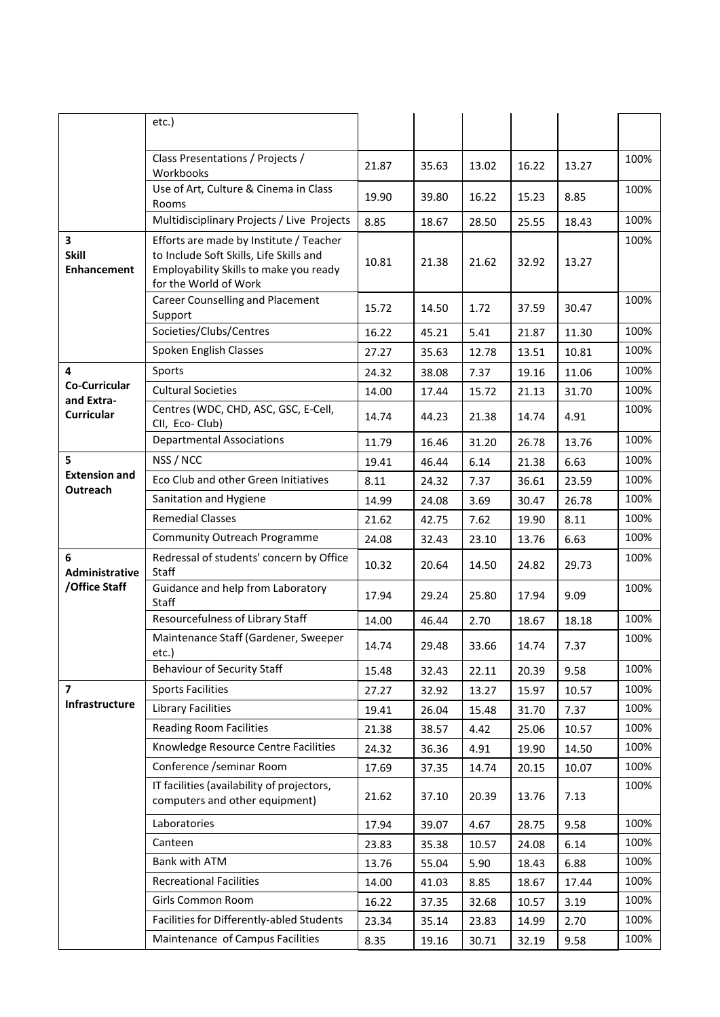|                                             | etc.)                                                                                                                                                 |       |       |       |       |       |      |
|---------------------------------------------|-------------------------------------------------------------------------------------------------------------------------------------------------------|-------|-------|-------|-------|-------|------|
|                                             |                                                                                                                                                       |       |       |       |       |       |      |
|                                             | Class Presentations / Projects /<br>Workbooks                                                                                                         | 21.87 | 35.63 | 13.02 | 16.22 | 13.27 | 100% |
|                                             | Use of Art, Culture & Cinema in Class<br>Rooms                                                                                                        | 19.90 | 39.80 | 16.22 | 15.23 | 8.85  | 100% |
|                                             | Multidisciplinary Projects / Live Projects                                                                                                            | 8.85  | 18.67 | 28.50 | 25.55 | 18.43 | 100% |
| 3<br><b>Skill</b><br><b>Enhancement</b>     | Efforts are made by Institute / Teacher<br>to Include Soft Skills, Life Skills and<br>Employability Skills to make you ready<br>for the World of Work | 10.81 | 21.38 | 21.62 | 32.92 | 13.27 | 100% |
|                                             | Career Counselling and Placement<br>Support                                                                                                           | 15.72 | 14.50 | 1.72  | 37.59 | 30.47 | 100% |
|                                             | Societies/Clubs/Centres                                                                                                                               | 16.22 | 45.21 | 5.41  | 21.87 | 11.30 | 100% |
|                                             | Spoken English Classes                                                                                                                                | 27.27 | 35.63 | 12.78 | 13.51 | 10.81 | 100% |
| 4                                           | Sports                                                                                                                                                | 24.32 | 38.08 | 7.37  | 19.16 | 11.06 | 100% |
| <b>Co-Curricular</b><br>and Extra-          | <b>Cultural Societies</b>                                                                                                                             | 14.00 | 17.44 | 15.72 | 21.13 | 31.70 | 100% |
| <b>Curricular</b>                           | Centres (WDC, CHD, ASC, GSC, E-Cell,<br>CII, Eco-Club)                                                                                                | 14.74 | 44.23 | 21.38 | 14.74 | 4.91  | 100% |
|                                             | <b>Departmental Associations</b>                                                                                                                      | 11.79 | 16.46 | 31.20 | 26.78 | 13.76 | 100% |
| 5<br><b>Extension and</b><br>Outreach       | NSS / NCC                                                                                                                                             | 19.41 | 46.44 | 6.14  | 21.38 | 6.63  | 100% |
|                                             | Eco Club and other Green Initiatives                                                                                                                  | 8.11  | 24.32 | 7.37  | 36.61 | 23.59 | 100% |
|                                             | Sanitation and Hygiene                                                                                                                                | 14.99 | 24.08 | 3.69  | 30.47 | 26.78 | 100% |
|                                             | <b>Remedial Classes</b>                                                                                                                               | 21.62 | 42.75 | 7.62  | 19.90 | 8.11  | 100% |
|                                             | <b>Community Outreach Programme</b>                                                                                                                   | 24.08 | 32.43 | 23.10 | 13.76 | 6.63  | 100% |
| 6<br><b>Administrative</b><br>/Office Staff | Redressal of students' concern by Office<br>Staff                                                                                                     | 10.32 | 20.64 | 14.50 | 24.82 | 29.73 | 100% |
|                                             | Guidance and help from Laboratory<br>Staff                                                                                                            | 17.94 | 29.24 | 25.80 | 17.94 | 9.09  | 100% |
|                                             | Resourcefulness of Library Staff                                                                                                                      | 14.00 | 46.44 | 2.70  | 18.67 | 18.18 | 100% |
|                                             | Maintenance Staff (Gardener, Sweeper<br>etc.)                                                                                                         | 14.74 | 29.48 | 33.66 | 14.74 | 7.37  | 100% |
|                                             | <b>Behaviour of Security Staff</b>                                                                                                                    | 15.48 | 32.43 | 22.11 | 20.39 | 9.58  | 100% |
| $\overline{\mathbf{z}}$                     | <b>Sports Facilities</b>                                                                                                                              | 27.27 | 32.92 | 13.27 | 15.97 | 10.57 | 100% |
| Infrastructure                              | <b>Library Facilities</b>                                                                                                                             | 19.41 | 26.04 | 15.48 | 31.70 | 7.37  | 100% |
|                                             | <b>Reading Room Facilities</b>                                                                                                                        | 21.38 | 38.57 | 4.42  | 25.06 | 10.57 | 100% |
|                                             | Knowledge Resource Centre Facilities                                                                                                                  | 24.32 | 36.36 | 4.91  | 19.90 | 14.50 | 100% |
|                                             | Conference /seminar Room                                                                                                                              | 17.69 | 37.35 | 14.74 | 20.15 | 10.07 | 100% |
|                                             | IT facilities (availability of projectors,<br>computers and other equipment)                                                                          | 21.62 | 37.10 | 20.39 | 13.76 | 7.13  | 100% |
|                                             | Laboratories                                                                                                                                          | 17.94 | 39.07 | 4.67  | 28.75 | 9.58  | 100% |
|                                             | Canteen                                                                                                                                               | 23.83 | 35.38 | 10.57 | 24.08 | 6.14  | 100% |
|                                             | Bank with ATM                                                                                                                                         | 13.76 | 55.04 | 5.90  | 18.43 | 6.88  | 100% |
|                                             |                                                                                                                                                       |       |       |       |       |       |      |
|                                             | <b>Recreational Facilities</b>                                                                                                                        | 14.00 | 41.03 | 8.85  | 18.67 | 17.44 | 100% |
|                                             | Girls Common Room                                                                                                                                     | 16.22 | 37.35 | 32.68 | 10.57 | 3.19  | 100% |
|                                             | Facilities for Differently-abled Students                                                                                                             | 23.34 | 35.14 | 23.83 | 14.99 | 2.70  | 100% |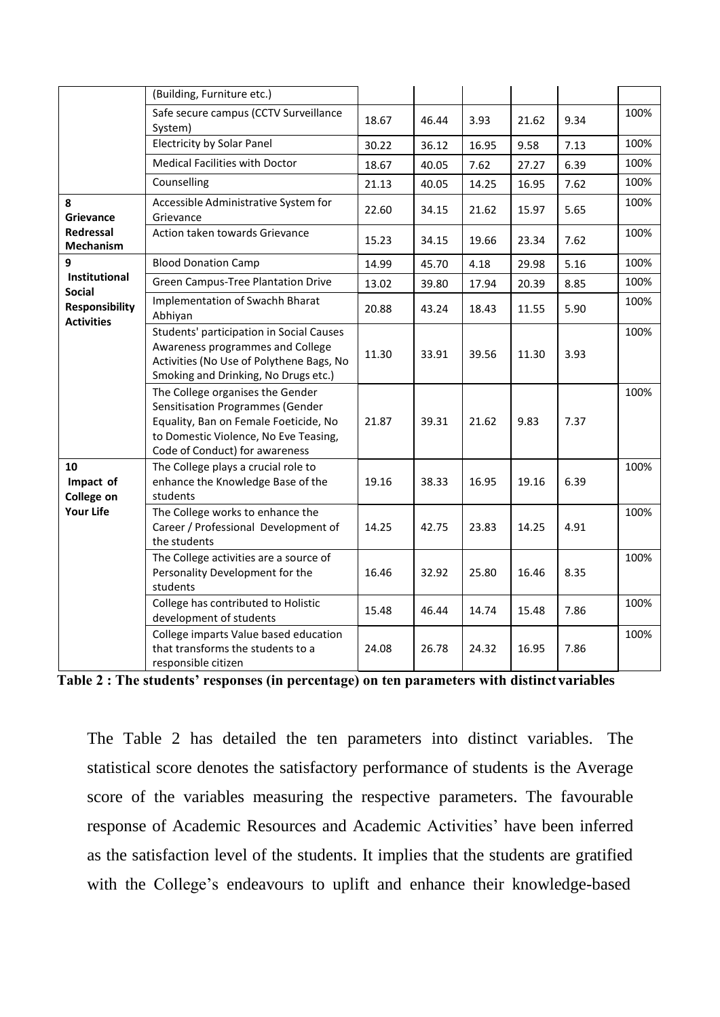|                                                      | (Building, Furniture etc.)                                                                                                                                                               |       |       |       |       |      |      |
|------------------------------------------------------|------------------------------------------------------------------------------------------------------------------------------------------------------------------------------------------|-------|-------|-------|-------|------|------|
|                                                      | Safe secure campus (CCTV Surveillance<br>System)                                                                                                                                         | 18.67 | 46.44 | 3.93  | 21.62 | 9.34 | 100% |
|                                                      | <b>Electricity by Solar Panel</b>                                                                                                                                                        | 30.22 | 36.12 | 16.95 | 9.58  | 7.13 | 100% |
|                                                      | <b>Medical Facilities with Doctor</b>                                                                                                                                                    | 18.67 | 40.05 | 7.62  | 27.27 | 6.39 | 100% |
|                                                      | Counselling                                                                                                                                                                              | 21.13 | 40.05 | 14.25 | 16.95 | 7.62 | 100% |
| 8<br>Grievance                                       | Accessible Administrative System for<br>Grievance                                                                                                                                        | 22.60 | 34.15 | 21.62 | 15.97 | 5.65 | 100% |
| <b>Redressal</b><br><b>Mechanism</b>                 | Action taken towards Grievance                                                                                                                                                           | 15.23 | 34.15 | 19.66 | 23.34 | 7.62 | 100% |
| 9                                                    | <b>Blood Donation Camp</b>                                                                                                                                                               | 14.99 | 45.70 | 4.18  | 29.98 | 5.16 | 100% |
| Institutional                                        | <b>Green Campus-Tree Plantation Drive</b>                                                                                                                                                | 13.02 | 39.80 | 17.94 | 20.39 | 8.85 | 100% |
| Social<br><b>Responsibility</b><br><b>Activities</b> | Implementation of Swachh Bharat<br>Abhiyan                                                                                                                                               | 20.88 | 43.24 | 18.43 | 11.55 | 5.90 | 100% |
|                                                      | Students' participation in Social Causes<br>Awareness programmes and College<br>Activities (No Use of Polythene Bags, No<br>Smoking and Drinking, No Drugs etc.)                         | 11.30 | 33.91 | 39.56 | 11.30 | 3.93 | 100% |
|                                                      | The College organises the Gender<br>Sensitisation Programmes (Gender<br>Equality, Ban on Female Foeticide, No<br>to Domestic Violence, No Eve Teasing,<br>Code of Conduct) for awareness | 21.87 | 39.31 | 21.62 | 9.83  | 7.37 | 100% |
| 10<br>Impact of<br>College on                        | The College plays a crucial role to<br>enhance the Knowledge Base of the<br>students                                                                                                     | 19.16 | 38.33 | 16.95 | 19.16 | 6.39 | 100% |
| <b>Your Life</b>                                     | The College works to enhance the<br>Career / Professional Development of<br>the students                                                                                                 | 14.25 | 42.75 | 23.83 | 14.25 | 4.91 | 100% |
|                                                      | The College activities are a source of<br>Personality Development for the<br>students                                                                                                    | 16.46 | 32.92 | 25.80 | 16.46 | 8.35 | 100% |
|                                                      | College has contributed to Holistic<br>development of students                                                                                                                           | 15.48 | 46.44 | 14.74 | 15.48 | 7.86 | 100% |
|                                                      | College imparts Value based education<br>that transforms the students to a<br>responsible citizen                                                                                        | 24.08 | 26.78 | 24.32 | 16.95 | 7.86 | 100% |

**Table 2 : The students' responses (in percentage) on ten parameters with distinct variables**

The Table 2 has detailed the ten parameters into distinct variables. The statistical score denotes the satisfactory performance of students is the Average score of the variables measuring the respective parameters. The favourable response of Academic Resources and Academic Activities' have been inferred as the satisfaction level of the students. It implies that the students are gratified with the College's endeavours to uplift and enhance their knowledge-based